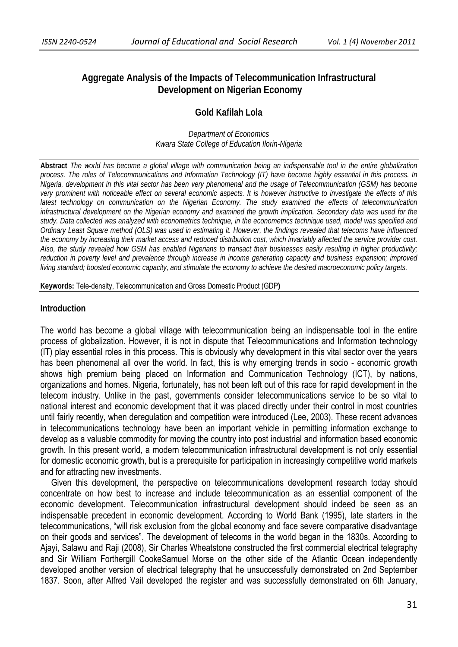# **Aggregate Analysis of the Impacts of Telecommunication Infrastructural Development on Nigerian Economy**

# **Gold Kafilah Lola**

*Department of Economics Kwara State College of Education Ilorin-Nigeria* 

**Abstract** *The world has become a global village with communication being an indispensable tool in the entire globalization process. The roles of Telecommunications and Information Technology (IT) have become highly essential in this process. In Nigeria, development in this vital sector has been very phenomenal and the usage of Telecommunication (GSM) has become very prominent with noticeable effect on several economic aspects. It is however instructive to investigate the effects of this latest technology on communication on the Nigerian Economy. The study examined the effects of telecommunication infrastructural development on the Nigerian economy and examined the growth implication. Secondary data was used for the study. Data collected was analyzed with econometrics technique, in the econometrics technique used, model was specified and Ordinary Least Square method (OLS) was used in estimating it. However, the findings revealed that telecoms have influenced the economy by increasing their market access and reduced distribution cost, which invariably affected the service provider cost. Also, the study revealed how GSM has enabled Nigerians to transact their businesses easily resulting in higher productivity; reduction in poverty level and prevalence through increase in income generating capacity and business expansion; improved living standard; boosted economic capacity, and stimulate the economy to achieve the desired macroeconomic policy targets.* 

**Keywords:** Tele-density, Telecommunication and Gross Domestic Product (GDP**)** 

#### **Introduction**

The world has become a global village with telecommunication being an indispensable tool in the entire process of globalization. However, it is not in dispute that Telecommunications and Information technology (IT) play essential roles in this process. This is obviously why development in this vital sector over the years has been phenomenal all over the world. In fact, this is why emerging trends in socio - economic growth shows high premium being placed on Information and Communication Technology (ICT), by nations, organizations and homes. Nigeria, fortunately, has not been left out of this race for rapid development in the telecom industry. Unlike in the past, governments consider telecommunications service to be so vital to national interest and economic development that it was placed directly under their control in most countries until fairly recently, when deregulation and competition were introduced (Lee, 2003). These recent advances in telecommunications technology have been an important vehicle in permitting information exchange to develop as a valuable commodity for moving the country into post industrial and information based economic growth. In this present world, a modern telecommunication infrastructural development is not only essential for domestic economic growth, but is a prerequisite for participation in increasingly competitive world markets and for attracting new investments.

 Given this development, the perspective on telecommunications development research today should concentrate on how best to increase and include telecommunication as an essential component of the economic development. Telecommunication infrastructural development should indeed be seen as an indispensable precedent in economic development. According to World Bank (1995), late starters in the telecommunications, "will risk exclusion from the global economy and face severe comparative disadvantage on their goods and services". The development of telecoms in the world began in the 1830s. According to Ajayi, Salawu and Raji (2008), Sir Charles Wheatstone constructed the first commercial electrical telegraphy and Sir William Forthergill CookeSamuel Morse on the other side of the Atlantic Ocean independently developed another version of electrical telegraphy that he unsuccessfully demonstrated on 2nd September 1837. Soon, after Alfred Vail developed the register and was successfully demonstrated on 6th January,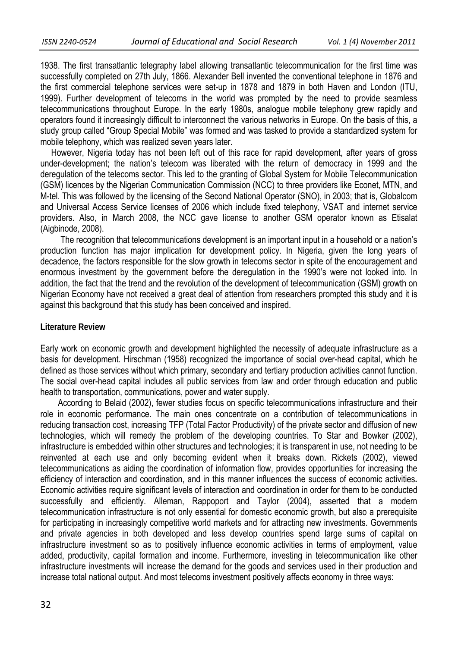1938. The first transatlantic telegraphy label allowing transatlantic telecommunication for the first time was successfully completed on 27th July, 1866. Alexander Bell invented the conventional telephone in 1876 and the first commercial telephone services were set-up in 1878 and 1879 in both Haven and London (ITU, 1999). Further development of telecoms in the world was prompted by the need to provide seamless telecommunications throughout Europe. In the early 1980s, analogue mobile telephony grew rapidly and operators found it increasingly difficult to interconnect the various networks in Europe. On the basis of this, a study group called "Group Special Mobile" was formed and was tasked to provide a standardized system for mobile telephony, which was realized seven years later.

 However, Nigeria today has not been left out of this race for rapid development, after years of gross under-development; the nation's telecom was liberated with the return of democracy in 1999 and the deregulation of the telecoms sector. This led to the granting of Global System for Mobile Telecommunication (GSM) licences by the Nigerian Communication Commission (NCC) to three providers like Econet, MTN, and M-tel. This was followed by the licensing of the Second National Operator (SNO), in 2003; that is, Globalcom and Universal Access Service licenses of 2006 which include fixed telephony, VSAT and internet service providers. Also, in March 2008, the NCC gave license to another GSM operator known as Etisalat (Aigbinode, 2008).

 The recognition that telecommunications development is an important input in a household or a nation's production function has major implication for development policy. In Nigeria, given the long years of decadence, the factors responsible for the slow growth in telecoms sector in spite of the encouragement and enormous investment by the government before the deregulation in the 1990's were not looked into. In addition, the fact that the trend and the revolution of the development of telecommunication (GSM) growth on Nigerian Economy have not received a great deal of attention from researchers prompted this study and it is against this background that this study has been conceived and inspired.

### **Literature Review**

Early work on economic growth and development highlighted the necessity of adequate infrastructure as a basis for development. Hirschman (1958) recognized the importance of social over-head capital, which he defined as those services without which primary, secondary and tertiary production activities cannot function. The social over-head capital includes all public services from law and order through education and public health to transportation, communications, power and water supply.

 According to Belaid (2002), fewer studies focus on specific telecommunications infrastructure and their role in economic performance. The main ones concentrate on a contribution of telecommunications in reducing transaction cost, increasing TFP (Total Factor Productivity) of the private sector and diffusion of new technologies, which will remedy the problem of the developing countries. To Star and Bowker (2002), infrastructure is embedded within other structures and technologies; it is transparent in use, not needing to be reinvented at each use and only becoming evident when it breaks down. Rickets (2002), viewed telecommunications as aiding the coordination of information flow, provides opportunities for increasing the efficiency of interaction and coordination, and in this manner influences the success of economic activities**.**  Economic activities require significant levels of interaction and coordination in order for them to be conducted successfully and efficiently. Alleman, Rappoport and Taylor (2004), asserted that a modern telecommunication infrastructure is not only essential for domestic economic growth, but also a prerequisite for participating in increasingly competitive world markets and for attracting new investments. Governments and private agencies in both developed and less develop countries spend large sums of capital on infrastructure investment so as to positively influence economic activities in terms of employment, value added, productivity, capital formation and income. Furthermore, investing in telecommunication like other infrastructure investments will increase the demand for the goods and services used in their production and increase total national output. And most telecoms investment positively affects economy in three ways: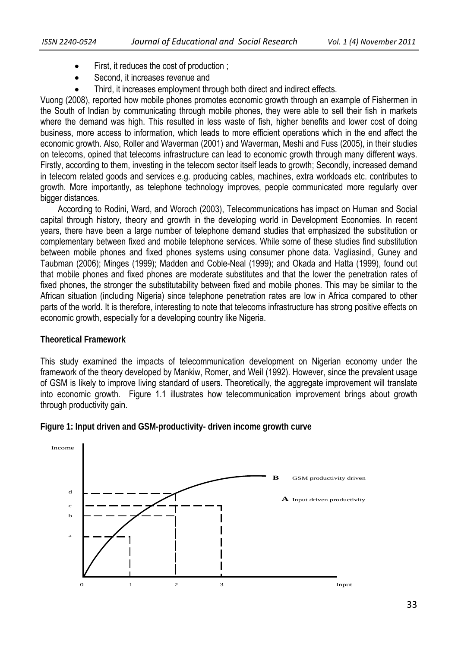- First, it reduces the cost of production :
- Second, it increases revenue and
- Third, it increases employment through both direct and indirect effects.

Vuong (2008), reported how mobile phones promotes economic growth through an example of Fishermen in the South of Indian by communicating through mobile phones, they were able to sell their fish in markets where the demand was high. This resulted in less waste of fish, higher benefits and lower cost of doing business, more access to information, which leads to more efficient operations which in the end affect the economic growth. Also, Roller and Waverman (2001) and Waverman, Meshi and Fuss (2005), in their studies on telecoms, opined that telecoms infrastructure can lead to economic growth through many different ways. Firstly, according to them, investing in the telecom sector itself leads to growth; Secondly, increased demand in telecom related goods and services e.g. producing cables, machines, extra workloads etc. contributes to growth. More importantly, as telephone technology improves, people communicated more regularly over bigger distances.

 According to Rodini, Ward, and Woroch (2003), Telecommunications has impact on Human and Social capital through history, theory and growth in the developing world in Development Economies. In recent years, there have been a large number of telephone demand studies that emphasized the substitution or complementary between fixed and mobile telephone services. While some of these studies find substitution between mobile phones and fixed phones systems using consumer phone data. Vagliasindi, Guney and Taubman (2006); Minges (1999); Madden and Coble-Neal (1999); and Okada and Hatta (1999), found out that mobile phones and fixed phones are moderate substitutes and that the lower the penetration rates of fixed phones, the stronger the substitutability between fixed and mobile phones. This may be similar to the African situation (including Nigeria) since telephone penetration rates are low in Africa compared to other parts of the world. It is therefore, interesting to note that telecoms infrastructure has strong positive effects on economic growth, especially for a developing country like Nigeria.

### **Theoretical Framework**

This study examined the impacts of telecommunication development on Nigerian economy under the framework of the theory developed by Mankiw, Romer, and Weil (1992). However, since the prevalent usage of GSM is likely to improve living standard of users. Theoretically, the aggregate improvement will translate into economic growth. Figure 1.1 illustrates how telecommunication improvement brings about growth through productivity gain.



**Figure 1: Input driven and GSM-productivity- driven income growth curve**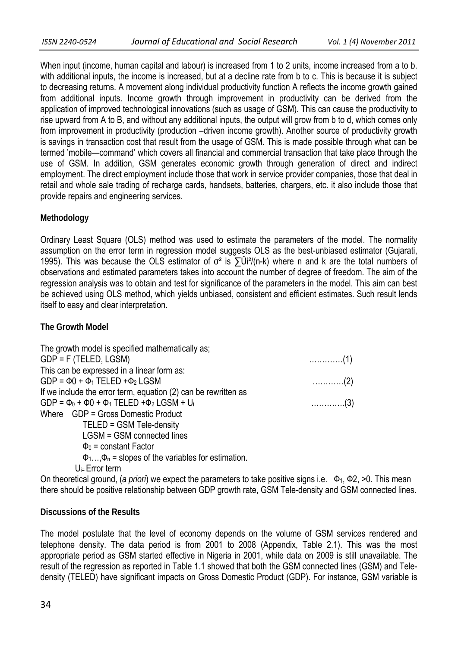When input (income, human capital and labour) is increased from 1 to 2 units, income increased from a to b. with additional inputs, the income is increased, but at a decline rate from b to c. This is because it is subject to decreasing returns. A movement along individual productivity function A reflects the income growth gained from additional inputs. Income growth through improvement in productivity can be derived from the application of improved technological innovations (such as usage of GSM). This can cause the productivity to rise upward from A to B, and without any additional inputs, the output will grow from b to d, which comes only from improvement in productivity (production –driven income growth). Another source of productivity growth is savings in transaction cost that result from the usage of GSM. This is made possible through what can be termed 'mobile—command' which covers all financial and commercial transaction that take place through the use of GSM. In addition, GSM generates economic growth through generation of direct and indirect employment. The direct employment include those that work in service provider companies, those that deal in retail and whole sale trading of recharge cards, handsets, batteries, chargers, etc. it also include those that provide repairs and engineering services.

# **Methodology**

Ordinary Least Square (OLS) method was used to estimate the parameters of the model. The normality assumption on the error term in regression model suggests OLS as the best-unbiased estimator (Gujarati, 1995). This was because the OLS estimator of  $\sigma^2$  is  $\Sigma$  Ui<sup>2</sup>/(n-k) where n and k are the total numbers of observations and estimated parameters takes into account the number of degree of freedom. The aim of the regression analysis was to obtain and test for significance of the parameters in the model. This aim can best be achieved using OLS method, which yields unbiased, consistent and efficient estimates. Such result lends itself to easy and clear interpretation.

## **The Growth Model**

| The growth model is specified mathematically as;                            |                                   |
|-----------------------------------------------------------------------------|-----------------------------------|
| $GDP = F$ (TELED, LGSM)                                                     |                                   |
| This can be expressed in a linear form as:                                  |                                   |
| $GDP = \Phi 0 + \Phi_1$ TELED + $\Phi_2$ LGSM                               | $\ldots \ldots \ldots \ldots (2)$ |
| If we include the error term, equation (2) can be rewritten as              |                                   |
| GDP = $\Phi_0$ + $\Phi_0$ + $\Phi_1$ TELED + $\Phi_2$ LGSM + U <sub>i</sub> | $\ldots \ldots \ldots \ldots (3)$ |
| Where GDP = Gross Domestic Product                                          |                                   |
| TELED = GSM Tele-density                                                    |                                   |
| LGSM = GSM connected lines                                                  |                                   |
| $\Phi_0$ = constant Factor                                                  |                                   |
| $\Phi_1 \dots, \Phi_n$ = slopes of the variables for estimation.            |                                   |
| $U_{i=}$ Error term                                                         |                                   |

On theoretical ground, (*a priori*) we expect the parameters to take positive signs i.e. Φ<sub>1</sub>, Φ2, >0. This mean there should be positive relationship between GDP growth rate, GSM Tele-density and GSM connected lines.

### **Discussions of the Results**

The model postulate that the level of economy depends on the volume of GSM services rendered and telephone density. The data period is from 2001 to 2008 (Appendix, Table 2.1). This was the most appropriate period as GSM started effective in Nigeria in 2001, while data on 2009 is still unavailable. The result of the regression as reported in Table 1.1 showed that both the GSM connected lines (GSM) and Teledensity (TELED) have significant impacts on Gross Domestic Product (GDP). For instance, GSM variable is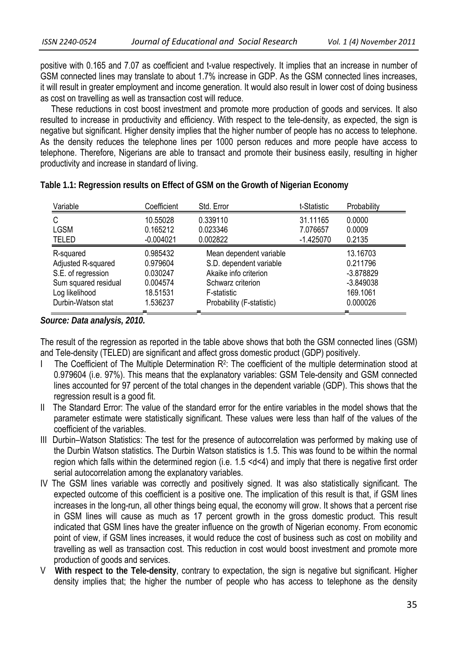positive with 0.165 and 7.07 as coefficient and t-value respectively. It implies that an increase in number of GSM connected lines may translate to about 1.7% increase in GDP. As the GSM connected lines increases, it will result in greater employment and income generation. It would also result in lower cost of doing business as cost on travelling as well as transaction cost will reduce.

 These reductions in cost boost investment and promote more production of goods and services. It also resulted to increase in productivity and efficiency. With respect to the tele-density, as expected, the sign is negative but significant. Higher density implies that the higher number of people has no access to telephone. As the density reduces the telephone lines per 1000 person reduces and more people have access to telephone. Therefore, Nigerians are able to transact and promote their business easily, resulting in higher productivity and increase in standard of living.

| Variable             | Coefficient | Std. Error                | t-Statistic | Probability |
|----------------------|-------------|---------------------------|-------------|-------------|
| С                    | 10.55028    | 0.339110                  | 31.11165    | 0.0000      |
| <b>LGSM</b>          | 0.165212    | 0.023346                  | 7.076657    | 0.0009      |
| <b>TELED</b>         | $-0.004021$ | 0.002822                  | $-1.425070$ | 0.2135      |
| R-squared            | 0.985432    | Mean dependent variable   |             | 13.16703    |
| Adjusted R-squared   | 0.979604    | S.D. dependent variable   |             | 0.211796    |
| S.E. of regression   | 0.030247    | Akaike info criterion     |             | $-3.878829$ |
| Sum squared residual | 0.004574    | Schwarz criterion         |             | $-3.849038$ |
| Log likelihood       | 18.51531    | F-statistic               |             | 169.1061    |
| Durbin-Watson stat   | 1.536237    | Probability (F-statistic) |             | 0.000026    |

**Table 1.1: Regression results on Effect of GSM on the Growth of Nigerian Economy** 

*Source: Data analysis, 2010.* 

The result of the regression as reported in the table above shows that both the GSM connected lines (GSM) and Tele-density (TELED) are significant and affect gross domestic product (GDP) positively.

- I The Coefficient of The Multiple Determination R<sup>2</sup>: The coefficient of the multiple determination stood at 0.979604 (i.e. 97%). This means that the explanatory variables: GSM Tele-density and GSM connected lines accounted for 97 percent of the total changes in the dependent variable (GDP). This shows that the regression result is a good fit.
- II The Standard Error: The value of the standard error for the entire variables in the model shows that the parameter estimate were statistically significant. These values were less than half of the values of the coefficient of the variables.
- III Durbin–Watson Statistics: The test for the presence of autocorrelation was performed by making use of the Durbin Watson statistics. The Durbin Watson statistics is 1.5. This was found to be within the normal region which falls within the determined region (i.e. 1.5 <d<4) and imply that there is negative first order serial autocorrelation among the explanatory variables.
- IV The GSM lines variable was correctly and positively signed. It was also statistically significant. The expected outcome of this coefficient is a positive one. The implication of this result is that, if GSM lines increases in the long-run, all other things being equal, the economy will grow. It shows that a percent rise in GSM lines will cause as much as 17 percent growth in the gross domestic product. This result indicated that GSM lines have the greater influence on the growth of Nigerian economy. From economic point of view, if GSM lines increases, it would reduce the cost of business such as cost on mobility and travelling as well as transaction cost. This reduction in cost would boost investment and promote more production of goods and services.
- V **With respect to the Tele-density**, contrary to expectation, the sign is negative but significant. Higher density implies that; the higher the number of people who has access to telephone as the density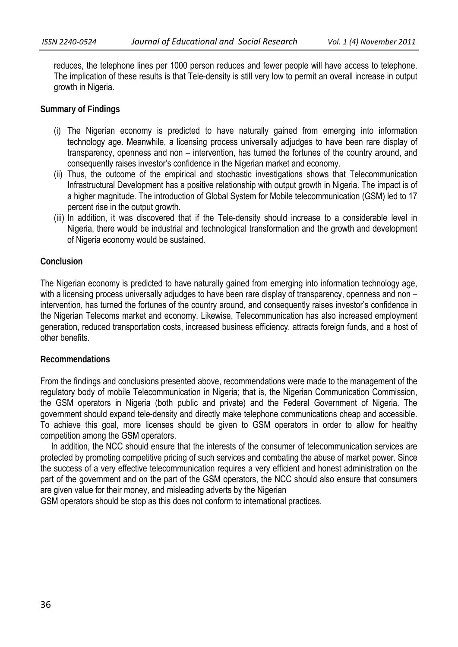reduces, the telephone lines per 1000 person reduces and fewer people will have access to telephone. The implication of these results is that Tele-density is still very low to permit an overall increase in output growth in Nigeria.

### **Summary of Findings**

- (i) The Nigerian economy is predicted to have naturally gained from emerging into information technology age. Meanwhile, a licensing process universally adjudges to have been rare display of transparency, openness and non – intervention, has turned the fortunes of the country around, and consequently raises investor's confidence in the Nigerian market and economy.
- (ii) Thus, the outcome of the empirical and stochastic investigations shows that Telecommunication Infrastructural Development has a positive relationship with output growth in Nigeria. The impact is of a higher magnitude. The introduction of Global System for Mobile telecommunication (GSM) led to 17 percent rise in the output growth.
- (iii) In addition, it was discovered that if the Tele-density should increase to a considerable level in Nigeria, there would be industrial and technological transformation and the growth and development of Nigeria economy would be sustained.

### **Conclusion**

The Nigerian economy is predicted to have naturally gained from emerging into information technology age, with a licensing process universally adjudges to have been rare display of transparency, openness and non intervention, has turned the fortunes of the country around, and consequently raises investor's confidence in the Nigerian Telecoms market and economy. Likewise, Telecommunication has also increased employment generation, reduced transportation costs, increased business efficiency, attracts foreign funds, and a host of other benefits.

### **Recommendations**

From the findings and conclusions presented above, recommendations were made to the management of the regulatory body of mobile Telecommunication in Nigeria; that is, the Nigerian Communication Commission, the GSM operators in Nigeria (both public and private) and the Federal Government of Nigeria. The government should expand tele-density and directly make telephone communications cheap and accessible. To achieve this goal, more licenses should be given to GSM operators in order to allow for healthy competition among the GSM operators.

In addition, the NCC should ensure that the interests of the consumer of telecommunication services are protected by promoting competitive pricing of such services and combating the abuse of market power. Since the success of a very effective telecommunication requires a very efficient and honest administration on the part of the government and on the part of the GSM operators, the NCC should also ensure that consumers are given value for their money, and misleading adverts by the Nigerian

GSM operators should be stop as this does not conform to international practices.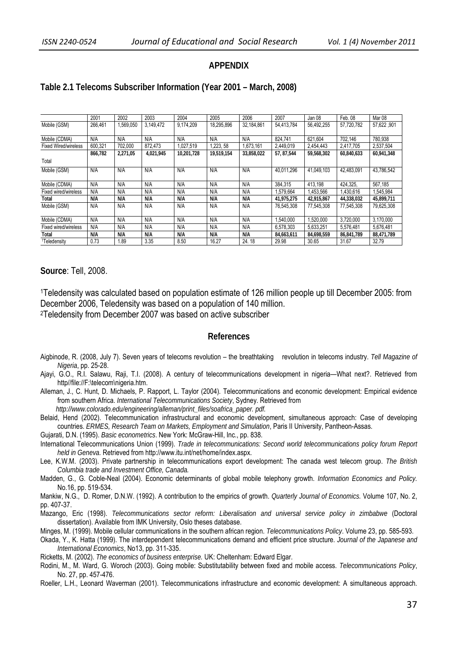#### **APPENDIX**

#### **Table 2.1 Telecoms Subscriber Information (Year 2001 – March, 2008)**

|                             | 2001    | 2002      | 2003      | 2004       | 2005       | 2006       | 2007        | Jan 08     | Feb. 08    | Mar <sub>08</sub> |
|-----------------------------|---------|-----------|-----------|------------|------------|------------|-------------|------------|------------|-------------------|
| Mobile (GSM)                | 266.461 | 1,569,050 | 3.149.472 | 9.174.209  | 18,295,896 | 32.184.861 | 54.413.784  | 56.492.255 | 57.720.782 | 57,622,901        |
|                             |         |           |           |            |            |            |             |            |            |                   |
| Mobile (CDMA)               | N/A     | N/A       | N/A       | N/A        | N/A        | N/A        | 824.741     | 621.604    | 702.146    | 780,938           |
| <b>Fixed Wired/wireless</b> | 600.321 | 702.000   | 872.473   | 1.027.519  | 1.223.58   | 1.673.161  | 2.449.019   | 2.454.443  | 2.417.705  | 2.537.504         |
|                             | 866,782 | 2,271,05  | 4,021,945 | 10,201,728 | 19.519.154 | 33,858,022 | 57, 87, 544 | 59.568.302 | 60,840,633 | 60,941,348        |
| Total                       |         |           |           |            |            |            |             |            |            |                   |
| Mobile (GSM)                | N/A     | N/A       | N/A       | N/A        | N/A        | N/A        | 40.011.296  | 41.049.103 | 42.483.091 | 43,786,542        |
| Mobile (CDMA)               | N/A     | N/A       | N/A       | N/A        | N/A        | N/A        | 384.315     | 413.198    | 424.325.   | 567.185           |
| Fixed wired/wireless        | N/A     | N/A       | N/A       | N/A        | N/A        | N/A        | 1.579.664   | 1.453.566  | 1.430.616  | 1.545.984         |
| Total                       | N/A     | N/A       | N/A       | N/A        | N/A        | N/A        | 41.975.275  | 42.915.867 | 44.338.032 | 45.899.711        |
| Mobile (GSM)                | N/A     | N/A       | N/A       | N/A        | N/A        | N/A        | 76.545.308  | 77.545.308 | 77.545.308 | 79,625,308        |
| Mobile (CDMA)               | N/A     | N/A       | N/A       | N/A        | N/A        | N/A        | 1.540.000   | 1,520,000  | 3.720.000  | 3.170.000         |
| Fixed wired/wireless        | N/A     | N/A       | N/A       | N/A        | N/A        | N/A        | 6.578.303   | 5.633.251  | 5.576.481  | 5,676,481         |
| Total                       | N/A     | N/A       | N/A       | N/A        | N/A        | N/A        | 84,663,611  | 84.698.559 | 86,841,789 | 88,471,789        |
| <sup>1</sup> Teledensity    | 0.73    | 1.89      | 3.35      | 8.50       | 16.27      | 24.18      | 29.98       | 30.65      | 31.67      | 32.79             |

#### **Source**: Tell, 2008.

1Teledensity was calculated based on population estimate of 126 million people up till December 2005: from December 2006, Teledensity was based on a population of 140 million. 2Teledensity from December 2007 was based on active subscriber

**References** 

- Aigbinode, R. (2008, July 7). Seven years of telecoms revolution the breathtaking revolution in telecoms industry. *Tell Magazine of Nigeria*, pp. 25-28.
- Ajayi, G.O., R.I. Salawu, Raji, T.I. (2008). A century of telecommunications development in nigeria—What next?. Retrieved from http//file://F:\telecom\nigeria.htm.
- Alleman, J., C. Hunt, D. Michaels, P. Rapport, L. Taylor (2004). Telecommunications and economic development: Empirical evidence from southern Africa. *International Telecommunications Society*, Sydney. Retrieved from

*http://www.colorado.edu/engineering/alleman/print\_files/soafrica\_paper. pdf.*

Belaid, Hend (2002). Telecommunication infrastructural and economic development, simultaneous approach: Case of developing countries. *ERMES, Research Team on Markets, Employment and Simulation*, Paris II University, Pantheon-Assas.

Gujarati, D.N. (1995). *Basic econometrics*. New York: McGraw-Hill, Inc., pp. 838.

- International Telecommunications Union (1999). *Trade in telecommunications: Second world telecommunications policy forum Report held in Geneva.* Retrieved from http://www.itu.int/net/home/index.aspx.
- Lee, K.W.M. (2003). Private partnership in telecommunications export development: The canada west telecom group. *The British Columbia trade and Investment Office, Canada.*
- Madden, G., G. Coble-Neal (2004). Economic determinants of global mobile telephony growth. *Information Economics and Policy.*  No.16, pp. 519-534.

Mankiw, N.G., D. Romer, D.N.W. (1992). A contribution to the empirics of growth. *Quarterly Journal of Economics.* Volume 107, No. 2, pp. 407-37.

Mazango, Eric (1998). *Telecommunications sector reform: Liberalisation and universal service policy in zimbabwe* (Doctoral dissertation). Available from IMK University, Oslo theses database.

Minges, M. (1999). Mobile cellular communications in the southern african region. *Telecommunications Policy*. Volume 23, pp. 585-593.

Okada, Y., K. Hatta (1999). The interdependent telecommunications demand and efficient price structure. *Journal of the Japanese and International Economics*, No13, pp. 311-335.

Ricketts, M. (2002). *The economics of business enterprise.* UK: Cheltenham: Edward Elgar.

Rodini, M., M. Ward, G. Woroch (2003). Going mobile: Substitutability between fixed and mobile access. *Telecommunications Policy*, No. 27, pp. 457-476.

Roeller, L.H., Leonard Waverman (2001). Telecommunications infrastructure and economic development: A simultaneous approach.